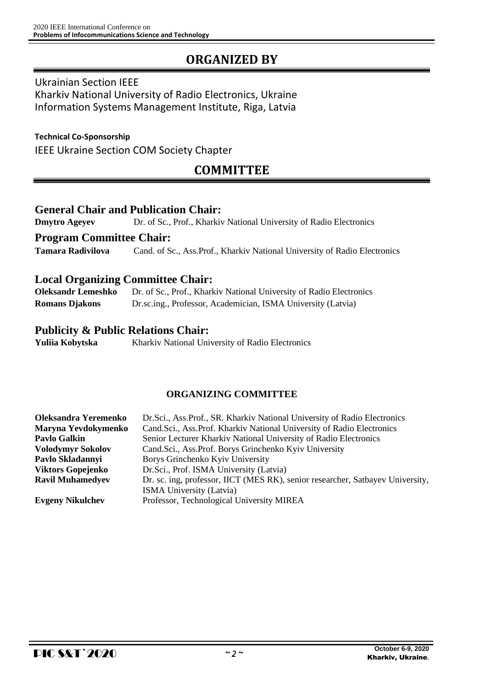# **ORGANIZED BY**

### Ukrainian Section IEEE

Kharkiv National University of Radio Electronics, Ukraine Information Systems Management Institute, Riga, Latvia

### **Technical Co-Sponsorship**

IEEE Ukraine Section COM Society Chapter

# **COMMITTEE**

### **General Chair and Publication Chair:**

**Dmytro Ageyev** Dr. of Sc., Prof., Kharkiv National University of Radio Electronics

**Program Committee Chair:**

**Tamara Radivilova** Cand. of Sc., Ass.Prof., Kharkiv National University of Radio Electronics

## **Local Organizing Committee Chair:**

**Oleksandr Lemeshko** Dr. of Sc., Prof., Kharkiv National University of Radio Electronics **Romans Djakons** Dr.sc.ing., Professor, Academician, ISMA University (Latvia)

### **Publicity & Public Relations Chair:**

Yuliia Kobytska Kharkiv National University of Radio Electronics

### **ORGANIZING COMMITTEE**

| Oleksandra Yeremenko                                                                         | Dr.Sci., Ass.Prof., SR. Kharkiv National University of Radio Electronics       |  |
|----------------------------------------------------------------------------------------------|--------------------------------------------------------------------------------|--|
| Cand.Sci., Ass.Prof. Kharkiv National University of Radio Electronics<br>Maryna Yevdokymenko |                                                                                |  |
| <b>Pavlo Galkin</b>                                                                          | Senior Lecturer Kharkiv National University of Radio Electronics               |  |
| <b>Volodymyr Sokolov</b>                                                                     | Cand.Sci., Ass.Prof. Borys Grinchenko Kyiv University                          |  |
| Pavlo Skladannyi                                                                             | Borys Grinchenko Kyiv University                                               |  |
| <b>Viktors Gopejenko</b>                                                                     | Dr.Sci., Prof. ISMA University (Latvia)                                        |  |
| <b>Ravil Muhamedyev</b>                                                                      | Dr. sc. ing, professor, IICT (MES RK), senior researcher, Satbayev University, |  |
|                                                                                              | <b>ISMA University (Latvia)</b>                                                |  |
| <b>Evgeny Nikulchev</b>                                                                      | Professor, Technological University MIREA                                      |  |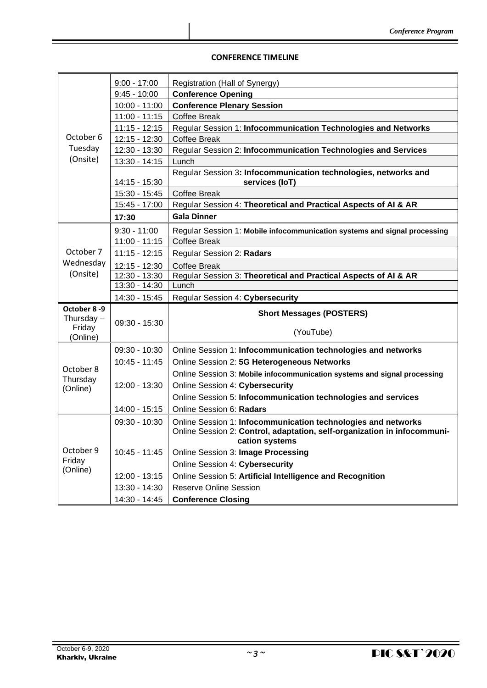### **CONFERENCE TIMELINE**

|                        | $9:00 - 17:00$  | Registration (Hall of Synergy)                                                             |
|------------------------|-----------------|--------------------------------------------------------------------------------------------|
|                        | $9:45 - 10:00$  | <b>Conference Opening</b>                                                                  |
|                        | $10:00 - 11:00$ | <b>Conference Plenary Session</b>                                                          |
|                        | $11:00 - 11:15$ | <b>Coffee Break</b>                                                                        |
|                        | $11:15 - 12:15$ | Regular Session 1: Infocommunication Technologies and Networks                             |
| October 6              | 12:15 - 12:30   | <b>Coffee Break</b>                                                                        |
| Tuesday                | 12:30 - 13:30   | Regular Session 2: Infocommunication Technologies and Services                             |
| (Onsite)               | 13:30 - 14:15   | Lunch                                                                                      |
|                        | 14:15 - 15:30   | Regular Session 3: Infocommunication technologies, networks and<br>services (IoT)          |
|                        | 15:30 - 15:45   | <b>Coffee Break</b>                                                                        |
|                        | 15:45 - 17:00   | Regular Session 4: Theoretical and Practical Aspects of AI & AR                            |
|                        | 17:30           | <b>Gala Dinner</b>                                                                         |
|                        | $9:30 - 11:00$  | Regular Session 1: Mobile infocommunication systems and signal processing                  |
|                        | $11:00 - 11:15$ | <b>Coffee Break</b>                                                                        |
| October 7              | $11:15 - 12:15$ | Regular Session 2: Radars                                                                  |
| Wednesday              | 12:15 - 12:30   | <b>Coffee Break</b>                                                                        |
| (Onsite)               | 12:30 - 13:30   | Regular Session 3: Theoretical and Practical Aspects of AI & AR                            |
|                        | 13:30 - 14:30   | Lunch                                                                                      |
|                        | 14:30 - 15:45   | Regular Session 4: Cybersecurity                                                           |
| October 8-9            |                 | <b>Short Messages (POSTERS)</b>                                                            |
| Thursday $-$<br>Friday | $09:30 - 15:30$ |                                                                                            |
| (Online)               |                 | (YouTube)                                                                                  |
|                        | 09:30 - 10:30   | Online Session 1: Infocommunication technologies and networks                              |
|                        | $10:45 - 11:45$ | Online Session 2: 5G Heterogeneous Networks                                                |
| October 8              |                 | Online Session 3: Mobile infocommunication systems and signal processing                   |
| Thursday               | 12:00 - 13:30   | Online Session 4: Cybersecurity                                                            |
| (Online)               |                 | Online Session 5: Infocommunication technologies and services                              |
|                        | 14:00 - 15:15   | Online Session 6: Radars                                                                   |
|                        | 09:30 - 10:30   | Online Session 1: Infocommunication technologies and networks                              |
|                        |                 | Online Session 2: Control, adaptation, self-organization in infocommuni-<br>cation systems |
| October 9              | $10:45 - 11:45$ | Online Session 3: Image Processing                                                         |
| Friday                 |                 | Online Session 4: Cybersecurity                                                            |
| (Online)               | 12:00 - 13:15   | Online Session 5: Artificial Intelligence and Recognition                                  |
|                        | 13:30 - 14:30   | <b>Reserve Online Session</b>                                                              |
|                        | 14:30 - 14:45   | <b>Conference Closing</b>                                                                  |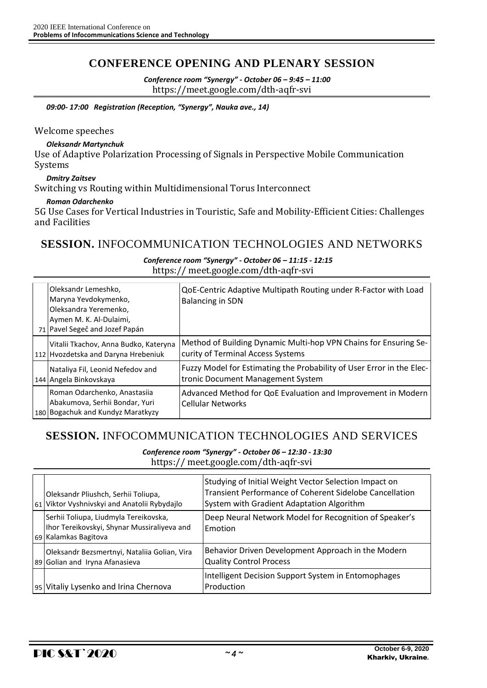## **CONFERENCE OPENING AND PLENARY SESSION**

*Conference room "Synergy" - October 06 – 9:45 – 11:00* https://meet.google.com/dth-aqfr-svi

*09:00- 17:00 Registration (Reception, "Synergy", Nauka ave., 14)*

### Welcome speeches

#### *Oleksandr Martynchuk*

Use of Adaptive Polarization Processing of Signals in Perspective Mobile Communication Systems

### *Dmitry Zaitsev*

Switching vs Routing within Multidimensional Torus Interconnect

### *Roman Odarchenko*

5G Use Cases for Vertical Industries in Touristic, Safe and Mobility-Efficient Cities: Challenges and Facilities

### **SESSION.** INFOCOMMUNICATION TECHNOLOGIES AND NETWORKS

### *Conference room "Synergy" - October 06 – 11:15 - 12:15* https:// meet.google.com/dth-aqfr-svi

|  | Oleksandr Lemeshko,<br>Maryna Yevdokymenko,<br>Oleksandra Yeremenko,<br>Aymen M. K. Al-Dulaimi,<br>71 Pavel Segeč and Jozef Papán | QoE-Centric Adaptive Multipath Routing under R-Factor with Load<br><b>Balancing in SDN</b>                 |
|--|-----------------------------------------------------------------------------------------------------------------------------------|------------------------------------------------------------------------------------------------------------|
|  | Vitalii Tkachov, Anna Budko, Kateryna<br>112 Hvozdetska and Daryna Hrebeniuk                                                      | Method of Building Dynamic Multi-hop VPN Chains for Ensuring Se-<br>curity of Terminal Access Systems      |
|  | Nataliya Fil, Leonid Nefedov and<br>144 Angela Binkovskaya                                                                        | Fuzzy Model for Estimating the Probability of User Error in the Elec-<br>tronic Document Management System |
|  | Roman Odarchenko, Anastasija<br>Abakumova, Serhii Bondar, Yuri<br>180 Bogachuk and Kundyz Maratkyzy                               | Advanced Method for QoE Evaluation and Improvement in Modern<br><b>Cellular Networks</b>                   |

### **SESSION.** INFOCOMMUNICATION TECHNOLOGIES AND SERVICES

*Conference room "Synergy" - October 06 – 12:30 - 13:30*

https:// meet.google.com/dth-aqfr-svi

| 61              | Oleksandr Pliushch, Serhii Toliupa,<br>Viktor Vyshnivskyi and Anatolii Rybydajlo                             | Studying of Initial Weight Vector Selection Impact on<br>Transient Performance of Coherent Sidelobe Cancellation<br>System with Gradient Adaptation Algorithm |
|-----------------|--------------------------------------------------------------------------------------------------------------|---------------------------------------------------------------------------------------------------------------------------------------------------------------|
|                 | Serhii Toliupa, Liudmyla Tereikovska,<br>Ihor Tereikovskyi, Shynar Mussiraliyeva and<br>69 Kalamkas Bagitova | Deep Neural Network Model for Recognition of Speaker's<br>Emotion                                                                                             |
|                 | Oleksandr Bezsmertnyi, Nataliia Golian, Vira<br>89 Golian and Iryna Afanasieva                               | Behavior Driven Development Approach in the Modern<br><b>Quality Control Process</b>                                                                          |
| 95 <sub>1</sub> | Vitaliy Lysenko and Irina Chernova                                                                           | Intelligent Decision Support System in Entomophages<br>Production                                                                                             |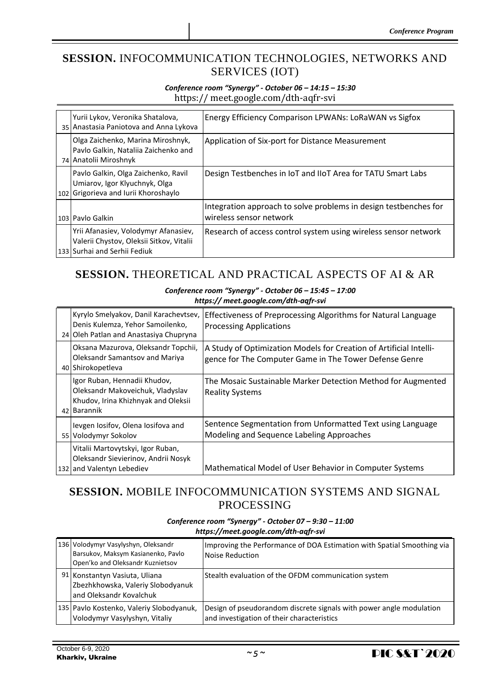## **SESSION.** INFOCOMMUNICATION TECHNOLOGIES, NETWORKS AND SERVICES (IOT)

### *Conference room "Synergy" - October 06 – 14:15 – 15:30* https:// meet.google.com/dth-aqfr-svi

| Yurii Lykov, Veronika Shatalova,<br>35 Anastasia Paniotova and Anna Lykova                                       | <b>Energy Efficiency Comparison LPWANs: LoRaWAN vs Sigfox</b>                               |
|------------------------------------------------------------------------------------------------------------------|---------------------------------------------------------------------------------------------|
| Olga Zaichenko, Marina Miroshnyk,<br>Pavlo Galkin, Nataliia Zaichenko and<br>74 Anatolii Miroshnyk               | Application of Six-port for Distance Measurement                                            |
| Pavlo Galkin, Olga Zaichenko, Ravil<br>Umiarov, Igor Klyuchnyk, Olga<br>102 Grigorieva and Iurii Khoroshaylo     | Design Testbenches in IoT and IIoT Area for TATU Smart Labs                                 |
| 103 Paylo Galkin                                                                                                 | Integration approach to solve problems in design testbenches for<br>wireless sensor network |
| Yrii Afanasiev, Volodymyr Afanasiev,<br>Valerii Chystov, Oleksii Sitkov, Vitalii<br>133 Surhai and Serhii Fediuk | Research of access control system using wireless sensor network                             |

# **SESSION.** THEORETICAL AND PRACTICAL ASPECTS OF AI & AR

#### *Conference room "Synergy" - October 06 – 15:45 – 17:00 https:// meet.google.com/dth-aqfr-svi*

| Kyrylo Smelyakov, Danil Karachevtsev,<br>Denis Kulemza, Yehor Samoilenko,<br>24 Oleh Patlan and Anastasiya Chupryna    | Effectiveness of Preprocessing Algorithms for Natural Language<br><b>Processing Applications</b>                             |
|------------------------------------------------------------------------------------------------------------------------|------------------------------------------------------------------------------------------------------------------------------|
| Oksana Mazurova, Oleksandr Topchii,<br>Oleksandr Samantsov and Mariya<br>40 Shirokopetleva                             | A Study of Optimization Models for Creation of Artificial Intelli-<br>gence for The Computer Game in The Tower Defense Genre |
| Igor Ruban, Hennadii Khudov,<br>Oleksandr Makoveichuk, Vladyslav<br>Khudov, Irina Khizhnyak and Oleksii<br>42 Barannik | The Mosaic Sustainable Marker Detection Method for Augmented<br><b>Reality Systems</b>                                       |
| levgen losifov, Olena losifova and<br>55 Volodymyr Sokolov                                                             | Sentence Segmentation from Unformatted Text using Language<br>Modeling and Sequence Labeling Approaches                      |
| Vitalii Martovytskyi, Igor Ruban,<br>Oleksandr Sievierinov, Andrii Nosyk<br>132 and Valentyn Lebediev                  | Mathematical Model of User Behavior in Computer Systems                                                                      |

# **SESSION.** MOBILE INFOCOMMUNICATION SYSTEMS AND SIGNAL PROCESSING

| 136 Volodymyr Vasylyshyn, Oleksandr<br>Barsukov, Maksym Kasianenko, Pavlo<br>Open'ko and Oleksandr Kuznietsov | Improving the Performance of DOA Estimation with Spatial Smoothing via<br>Noise Reduction                         |
|---------------------------------------------------------------------------------------------------------------|-------------------------------------------------------------------------------------------------------------------|
| 91 Konstantyn Vasiuta, Uliana<br>Zbezhkhowska, Valeriy Slobodyanuk<br>land Oleksandr Kovalchuk                | Stealth evaluation of the OFDM communication system                                                               |
| 135   Pavlo Kostenko, Valeriy Slobodyanuk,<br>Volodymyr Vasylyshyn, Vitaliy                                   | Design of pseudorandom discrete signals with power angle modulation<br>and investigation of their characteristics |

#### *Conference room "Synergy" - October 07 – 9:30 – 11:00 https://meet.google.com/dth-aqfr-svi*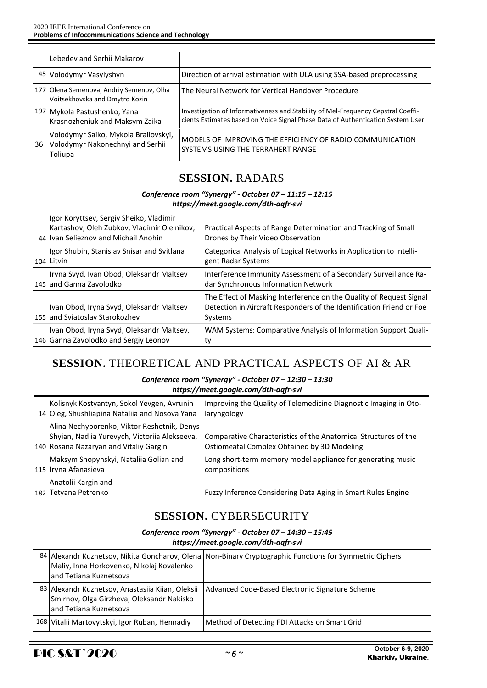|    | Lebedev and Serhii Makarov                                                          |                                                                                                                                                                     |
|----|-------------------------------------------------------------------------------------|---------------------------------------------------------------------------------------------------------------------------------------------------------------------|
|    | 45 Volodymyr Vasylyshyn                                                             | Direction of arrival estimation with ULA using SSA-based preprocessing                                                                                              |
|    | 177 Olena Semenova, Andriy Semenov, Olha<br>Voitsekhovska and Dmytro Kozin          | The Neural Network for Vertical Handover Procedure                                                                                                                  |
|    | 197 Mykola Pastushenko, Yana<br>Krasnozheniuk and Maksym Zaika                      | Investigation of Informativeness and Stability of Mel-Frequency Cepstral Coeffi-<br>cients Estimates based on Voice Signal Phase Data of Authentication System User |
| 36 | Volodymyr Saiko, Mykola Brailovskyi,<br>Volodymyr Nakonechnyi and Serhii<br>Toliupa | IMODELS OF IMPROVING THE EFFICIENCY OF RADIO COMMUNICATION<br>SYSTEMS USING THE TERRAHERT RANGE                                                                     |

## **SESSION.** RADARS

# *Conference room "Synergy" - October 07 – 11:15 – 12:15*

| https://meet.google.com/dth-aqfr-svi |
|--------------------------------------|
|                                      |

| Igor Koryttsev, Sergiy Sheiko, Vladimir<br>Kartashov, Oleh Zubkov, Vladimir Oleinikov,<br>44 Ivan Selieznov and Michail Anohin | Practical Aspects of Range Determination and Tracking of Small<br>Drones by Their Video Observation                                                    |
|--------------------------------------------------------------------------------------------------------------------------------|--------------------------------------------------------------------------------------------------------------------------------------------------------|
| Igor Shubin, Stanislav Snisar and Svitlana<br>104 Litvin                                                                       | Categorical Analysis of Logical Networks in Application to Intelli-<br>gent Radar Systems                                                              |
| Iryna Svyd, Ivan Obod, Oleksandr Maltsev<br>145 and Ganna Zavolodko                                                            | Interference Immunity Assessment of a Secondary Surveillance Ra-<br>dar Synchronous Information Network                                                |
| Ivan Obod, Iryna Svyd, Oleksandr Maltsev<br>155 and Sviatoslav Starokozhev                                                     | The Effect of Masking Interference on the Quality of Request Signal<br>Detection in Aircraft Responders of the Identification Friend or Foe<br>Systems |
| Ivan Obod, Iryna Svyd, Oleksandr Maltsev,<br>146 Ganna Zavolodko and Sergiy Leonov                                             | WAM Systems: Comparative Analysis of Information Support Quali-<br> ty                                                                                 |

# **SESSION.** THEORETICAL AND PRACTICAL ASPECTS OF AI & AR

### *Conference room "Synergy" - October 07 – 12:30 – 13:30 https://meet.google.com/dth-aqfr-svi*

| Kolisnyk Kostyantyn, Sokol Yevgen, Avrunin<br>14 Oleg, Shushliapina Nataliia and Nosova Yana                                           | Improving the Quality of Telemedicine Diagnostic Imaging in Oto-<br>laryngology                                |
|----------------------------------------------------------------------------------------------------------------------------------------|----------------------------------------------------------------------------------------------------------------|
| Alina Nechyporenko, Viktor Reshetnik, Denys<br>Shyian, Nadiia Yurevych, Victoriia Alekseeva,<br>140 Rosana Nazaryan and Vitaliy Gargin | Comparative Characteristics of the Anatomical Structures of the<br>Ostiomeatal Complex Obtained by 3D Modeling |
| Maksym Shopynskyi, Nataliia Golian and<br>115 Iryna Afanasieva                                                                         | Long short-term memory model appliance for generating music<br>compositions                                    |
| Anatolii Kargin and<br>182 Tetyana Petrenko                                                                                            | Fuzzy Inference Considering Data Aging in Smart Rules Engine                                                   |

# **SESSION.** CYBERSECURITY

#### *Conference room "Synergy" - October 07 – 14:30 – 15:45 https://meet.google.com/dth-aqfr-svi*

|  | Maliy, Inna Horkovenko, Nikolaj Kovalenko<br>land Tetiana Kuznetsova                                                     | 84 Alexandr Kuznetsov, Nikita Goncharov, Olena Non-Binary Cryptographic Functions for Symmetric Ciphers |
|--|--------------------------------------------------------------------------------------------------------------------------|---------------------------------------------------------------------------------------------------------|
|  | 83 Alexandr Kuznetsov, Anastasiia Kiian, Oleksii<br>Smirnov, Olga Girzheva, Oleksandr Nakisko<br>land Tetiana Kuznetsova | Advanced Code-Based Electronic Signature Scheme                                                         |
|  | 168 Vitalii Martovytskyi, Igor Ruban, Hennadiy                                                                           | Method of Detecting FDI Attacks on Smart Grid                                                           |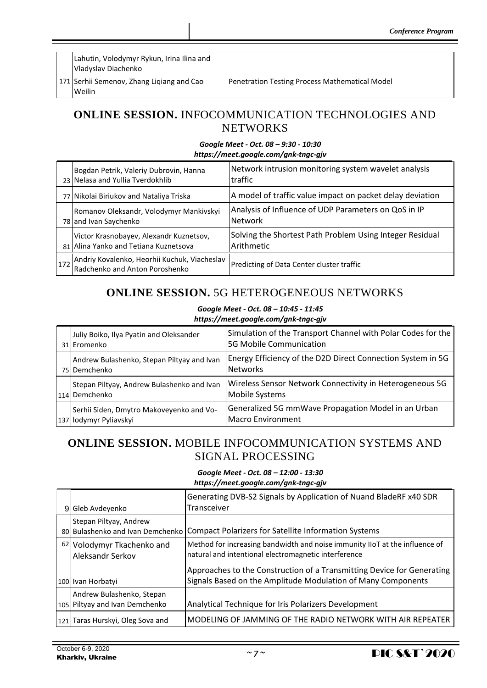| Lahutin, Volodymyr Rykun, Irina Ilina and<br>Vladyslav Diachenko |                                                       |
|------------------------------------------------------------------|-------------------------------------------------------|
| 171 Serhii Semenov, Zhang Ligiang and Cao<br>Weilin              | <b>Penetration Testing Process Mathematical Model</b> |

## **ONLINE SESSION.** INFOCOMMUNICATION TECHNOLOGIES AND **NETWORKS**

#### *Google Meet - Oct. 08 – 9:30 - 10:30 https://meet.google.com/gnk-tngc-gjv*

|     | Bogdan Petrik, Valeriy Dubrovin, Hanna<br>23 Nelasa and Yullia Tverdokhlib       | Network intrusion monitoring system wavelet analysis<br>traffic        |
|-----|----------------------------------------------------------------------------------|------------------------------------------------------------------------|
|     | 77 Nikolai Biriukov and Nataliya Triska                                          | A model of traffic value impact on packet delay deviation              |
|     | Romanov Oleksandr, Volodymyr Mankivskyi<br>78 and Ivan Saychenko                 | Analysis of Influence of UDP Parameters on QoS in IP<br><b>Network</b> |
|     | Victor Krasnobayev, Alexandr Kuznetsov,<br>81 Alina Yanko and Tetiana Kuznetsova | Solving the Shortest Path Problem Using Integer Residual<br>Arithmetic |
| 172 | Andriy Kovalenko, Heorhii Kuchuk, Viacheslav<br>Radchenko and Anton Poroshenko   | Predicting of Data Center cluster traffic                              |

# **ONLINE SESSION.** 5G HETEROGENEOUS NETWORKS

*Google Meet - Oct. 08 – 10:45 - 11:45*

| https://meet.google.com/gnk-tngc-gjv                               |                                                                                         |  |
|--------------------------------------------------------------------|-----------------------------------------------------------------------------------------|--|
| Juliy Boiko, Ilya Pyatin and Oleksander<br>31 Eromenko             | Simulation of the Transport Channel with Polar Codes for the<br>5G Mobile Communication |  |
| Andrew Bulashenko, Stepan Piltyay and Ivan<br>75 Demchenko         | Energy Efficiency of the D2D Direct Connection System in 5G<br><b>Networks</b>          |  |
| Stepan Piltyay, Andrew Bulashenko and Ivan<br>114 Demchenko        | Wireless Sensor Network Connectivity in Heterogeneous 5G<br>Mobile Systems              |  |
| Serhii Siden, Dmytro Makoveyenko and Vo-<br>137 lodymyr Pyliavskyi | Generalized 5G mmWave Propagation Model in an Urban<br>Macro Environment                |  |

# **ONLINE SESSION.** MOBILE INFOCOMMUNICATION SYSTEMS AND SIGNAL PROCESSING

*Google Meet - Oct. 08 – 12:00 - 13:30 https://meet.google.com/gnk-tngc-gjv*

| $\frac{1}{1000}$                                            |                                                                                                                                        |  |
|-------------------------------------------------------------|----------------------------------------------------------------------------------------------------------------------------------------|--|
| 9 Gleb Avdevenko                                            | Generating DVB-S2 Signals by Application of Nuand BladeRF x40 SDR<br>Transceiver                                                       |  |
| Stepan Piltyay, Andrew<br>80 Bulashenko and Ivan Demchenko  | Compact Polarizers for Satellite Information Systems                                                                                   |  |
| 62 Volodymyr Tkachenko and<br><b>Aleksandr Serkov</b>       | Method for increasing bandwidth and noise immunity IIoT at the influence of<br>natural and intentional electromagnetic interference    |  |
| 100 Ivan Horbatyi                                           | Approaches to the Construction of a Transmitting Device for Generating<br>Signals Based on the Amplitude Modulation of Many Components |  |
| Andrew Bulashenko, Stepan<br>105 Piltyay and Ivan Demchenko | Analytical Technique for Iris Polarizers Development                                                                                   |  |
| 121 Taras Hurskyi, Oleg Sova and                            | MODELING OF JAMMING OF THE RADIO NETWORK WITH AIR REPEATER                                                                             |  |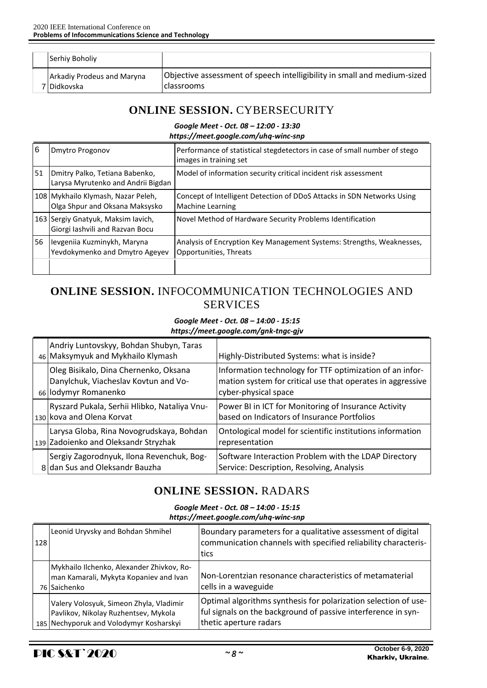|  | Serhiy Boholiy                                     |                                                                                               |
|--|----------------------------------------------------|-----------------------------------------------------------------------------------------------|
|  | <b>Arkadiy Prodeus and Maryna</b><br>7   Didkovska | Objective assessment of speech intelligibility in small and medium-sized<br><b>classrooms</b> |

## **ONLINE SESSION.** CYBERSECURITY

### *Google Meet - Oct. 08 – 12:00 - 13:30*

*https://meet.google.com/uhq-winc-snp*

| 6  | Dmytro Progonov                                                       | Performance of statistical stegdetectors in case of small number of stego<br>images in training set |
|----|-----------------------------------------------------------------------|-----------------------------------------------------------------------------------------------------|
| 51 | Dmitry Palko, Tetiana Babenko,<br>Larysa Myrutenko and Andrii Bigdan  | Model of information security critical incident risk assessment                                     |
|    | 108 Mykhailo Klymash, Nazar Peleh,<br>Olga Shpur and Oksana Maksysko  | Concept of Intelligent Detection of DDoS Attacks in SDN Networks Using<br><b>Machine Learning</b>   |
|    | 163 Sergiy Gnatyuk, Maksim Iavich,<br>Giorgi lashvili and Razvan Bocu | Novel Method of Hardware Security Problems Identification                                           |
| 56 | levgeniia Kuzminykh, Maryna<br>Yevdokymenko and Dmytro Ageyev         | Analysis of Encryption Key Management Systems: Strengths, Weaknesses,<br>Opportunities, Threats     |
|    |                                                                       |                                                                                                     |

## **ONLINE SESSION.** INFOCOMMUNICATION TECHNOLOGIES AND **SERVICES**

#### *Google Meet - Oct. 08 – 14:00 - 15:15 https://meet.google.com/gnk-tngc-gjv*

| Andriy Luntovskyy, Bohdan Shubyn, Taras<br>46 Maksymyuk and Mykhailo Klymash                          | Highly-Distributed Systems: what is inside?                                                                                                    |
|-------------------------------------------------------------------------------------------------------|------------------------------------------------------------------------------------------------------------------------------------------------|
| Oleg Bisikalo, Dina Chernenko, Oksana<br>Danylchuk, Viacheslav Kovtun and Vo-<br>66 lodymyr Romanenko | Information technology for TTF optimization of an infor-<br>mation system for critical use that operates in aggressive<br>cyber-physical space |
| Ryszard Pukala, Serhii Hlibko, Nataliya Vnu-<br>130 kova and Olena Korvat                             | Power BI in ICT for Monitoring of Insurance Activity<br>based on Indicators of Insurance Portfolios                                            |
| Larysa Globa, Rina Novogrudskaya, Bohdan<br>139 Zadoienko and Oleksandr Stryzhak                      | Ontological model for scientific institutions information<br>representation                                                                    |
| Sergiy Zagorodnyuk, Ilona Revenchuk, Bog-<br>8 dan Sus and Oleksandr Bauzha                           | Software Interaction Problem with the LDAP Directory<br>Service: Description, Resolving, Analysis                                              |

# **ONLINE SESSION.** RADARS

*Google Meet - Oct. 08 – 14:00 - 15:15 https://meet.google.com/uhq-winc-snp*

| 128 | Leonid Uryvsky and Bohdan Shmihel                                                                                          | Boundary parameters for a qualitative assessment of digital<br>communication channels with specified reliability characteris-<br>tics                      |
|-----|----------------------------------------------------------------------------------------------------------------------------|------------------------------------------------------------------------------------------------------------------------------------------------------------|
|     | Mykhailo Ilchenko, Alexander Zhivkov, Ro-<br>man Kamarali, Mykyta Kopaniev and Ivan<br>76 Saichenko                        | Non-Lorentzian resonance characteristics of metamaterial<br>cells in a waveguide                                                                           |
|     | Valery Volosyuk, Simeon Zhyla, Vladimir<br>Pavlikov, Nikolay Ruzhentsev, Mykola<br>185 Nechyporuk and Volodymyr Kosharskyi | Optimal algorithms synthesis for polarization selection of use-<br>ful signals on the background of passive interference in syn-<br>thetic aperture radars |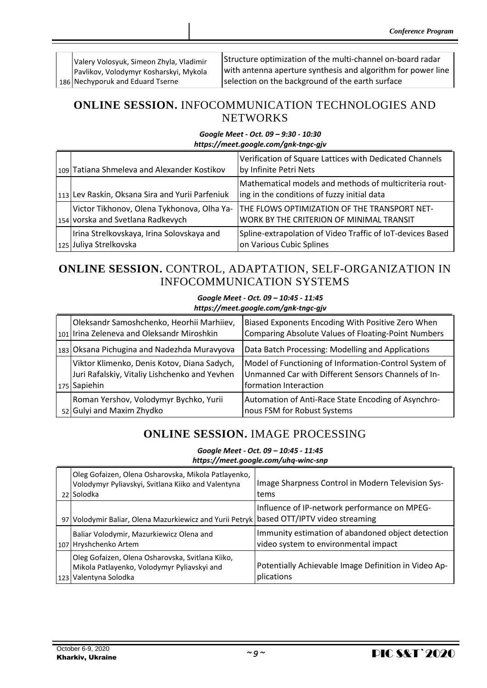186 Nechyporuk and Eduard Tserne Valery Volosyuk, Simeon Zhyla, Vladimir Pavlikov, Volodymyr Kosharskyi, Mykola Structure optimization of the multi-channel on-board radar with antenna aperture synthesis and algorithm for power line selection on the background of the earth surface

## **ONLINE SESSION.** INFOCOMMUNICATION TECHNOLOGIES AND **NETWORKS**

### *Google Meet - Oct. 09 – 9:30 - 10:30 https://meet.google.com/gnk-tngc-gjv*

| 109 Tatiana Shmeleva and Alexander Kostikov                                     | Verification of Square Lattices with Dedicated Channels<br>by Infinite Petri Nets                     |
|---------------------------------------------------------------------------------|-------------------------------------------------------------------------------------------------------|
| 113 Lev Raskin, Oksana Sira and Yurii Parfeniuk                                 | Mathematical models and methods of multicriteria rout-<br>ing in the conditions of fuzzy initial data |
| Victor Tikhonov, Olena Tykhonova, Olha Ya-<br>154 vorska and Svetlana Radkevych | THE FLOWS OPTIMIZATION OF THE TRANSPORT NET-<br>WORK BY THE CRITERION OF MINIMAL TRANSIT              |
| Irina Strelkovskaya, Irina Solovskaya and<br>125 Juliya Strelkovska             | Spline-extrapolation of Video Traffic of IoT-devices Based<br>on Various Cubic Splines                |

# **ONLINE SESSION.** CONTROL, ADAPTATION, SELF-ORGANIZATION IN INFOCOMMUNICATION SYSTEMS

#### *Google Meet - Oct. 09 – 10:45 - 11:45 https://meet.google.com/gnk-tngc-gjv*

| Oleksandr Samoshchenko, Heorhii Marhiiev,<br>101 Irina Zeleneva and Oleksandr Miroshkin                      | Biased Exponents Encoding With Positive Zero When<br>Comparing Absolute Values of Floating-Point Numbers                              |
|--------------------------------------------------------------------------------------------------------------|---------------------------------------------------------------------------------------------------------------------------------------|
| 183 Oksana Pichugina and Nadezhda Muravyova                                                                  | Data Batch Processing: Modelling and Applications                                                                                     |
| Viktor Klimenko, Denis Kotov, Diana Sadych,<br>Juri Rafalskiy, Vitaliy Lishchenko and Yevhen<br>175 Sapiehin | Model of Functioning of Information-Control System of<br>Unmanned Car with Different Sensors Channels of In-<br>formation Interaction |
| Roman Yershov, Volodymyr Bychko, Yurii<br>52 Gulyi and Maxim Zhydko                                          | Automation of Anti-Race State Encoding of Asynchro-<br>nous FSM for Robust Systems                                                    |

# **ONLINE SESSION.** IMAGE PROCESSING

*Google Meet - Oct. 09 – 10:45 - 11:45 https://meet.google.com/uhq-winc-snp*

| Oleg Gofaizen, Olena Osharovska, Mikola Patlayenko,<br>Volodymyr Pyliavskyi, Svitlana Kiiko and Valentyna<br>22 Solodka  | Image Sharpness Control in Modern Television Sys-<br>tems                                 |
|--------------------------------------------------------------------------------------------------------------------------|-------------------------------------------------------------------------------------------|
| 97 Volodymir Baliar, Olena Mazurkiewicz and Yurii Petryk   based OTT/IPTV video streaming                                | Influence of IP-network performance on MPEG-                                              |
| Baliar Volodymir, Mazurkiewicz Olena and<br>107 Hryshchenko Artem                                                        | Immunity estimation of abandoned object detection<br>video system to environmental impact |
| Oleg Gofaizen, Olena Osharovska, Svitlana Kiiko,<br>Mikola Patlayenko, Volodymyr Pyliavskyi and<br>123 Valentyna Solodka | Potentially Achievable Image Definition in Video Ap-<br>plications                        |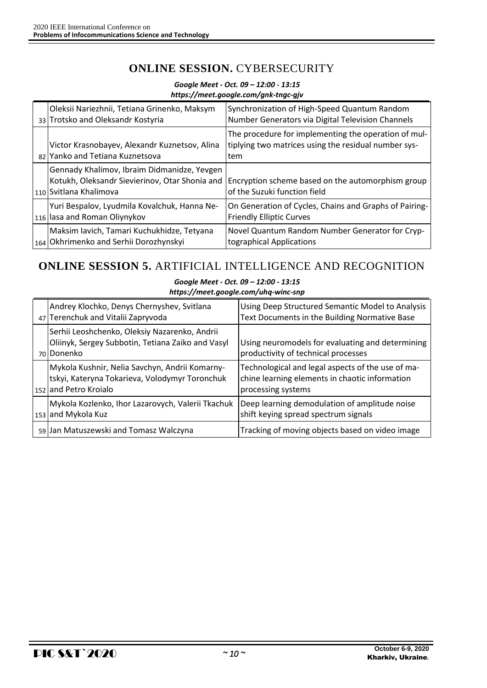# **ONLINE SESSION.** CYBERSECURITY

|                                                                                                                         | goog.c.com/g.m.c.gog/                                                                                               |
|-------------------------------------------------------------------------------------------------------------------------|---------------------------------------------------------------------------------------------------------------------|
| Oleksii Nariezhnii, Tetiana Grinenko, Maksym<br>33 Trotsko and Oleksandr Kostyria                                       | Synchronization of High-Speed Quantum Random<br>Number Generators via Digital Television Channels                   |
| Victor Krasnobayev, Alexandr Kuznetsov, Alina<br>82 Yanko and Tetiana Kuznetsova                                        | The procedure for implementing the operation of mul-<br>tiplying two matrices using the residual number sys-<br>tem |
| Gennady Khalimov, Ibraim Didmanidze, Yevgen<br>Kotukh, Oleksandr Sievierinov, Otar Shonia and<br>110 Svitlana Khalimova | Encryption scheme based on the automorphism group<br>of the Suzuki function field                                   |
| Yuri Bespalov, Lyudmila Kovalchuk, Hanna Ne-<br>116 lasa and Roman Oliynykov                                            | On Generation of Cycles, Chains and Graphs of Pairing-<br><b>Friendly Elliptic Curves</b>                           |
| Maksim Iavich, Tamari Kuchukhidze, Tetyana<br>164 Okhrimenko and Serhii Dorozhynskyi                                    | Novel Quantum Random Number Generator for Cryp-<br>tographical Applications                                         |

### *Google Meet - Oct. 09 – 12:00 - 13:15 https://meet.google.com/gnk-tngc-gjv*

# **ONLINE SESSION 5.** ARTIFICIAL INTELLIGENCE AND RECOGNITION

#### *Google Meet - Oct. 09 – 12:00 - 13:15 https://meet.google.com/uhq-winc-snp*

| Andrey Klochko, Denys Chernyshev, Svitlana<br>47 Terenchuk and Vitalii Zapryvoda                                          | Using Deep Structured Semantic Model to Analysis<br>Text Documents in the Building Normative Base                         |
|---------------------------------------------------------------------------------------------------------------------------|---------------------------------------------------------------------------------------------------------------------------|
| Serhii Leoshchenko, Oleksiy Nazarenko, Andrii<br>Oliinyk, Sergey Subbotin, Tetiana Zaiko and Vasyl<br>70 Donenko          | Using neuromodels for evaluating and determining<br>productivity of technical processes                                   |
| Mykola Kushnir, Nelia Savchyn, Andrii Komarny-<br>tskyi, Kateryna Tokarieva, Volodymyr Toronchuk<br>152 and Petro Kroialo | Technological and legal aspects of the use of ma-<br>chine learning elements in chaotic information<br>processing systems |
| Mykola Kozlenko, Ihor Lazarovych, Valerii Tkachuk<br>153 and Mykola Kuz                                                   | Deep learning demodulation of amplitude noise<br>shift keying spread spectrum signals                                     |
| 59 Jan Matuszewski and Tomasz Walczyna                                                                                    | Tracking of moving objects based on video image                                                                           |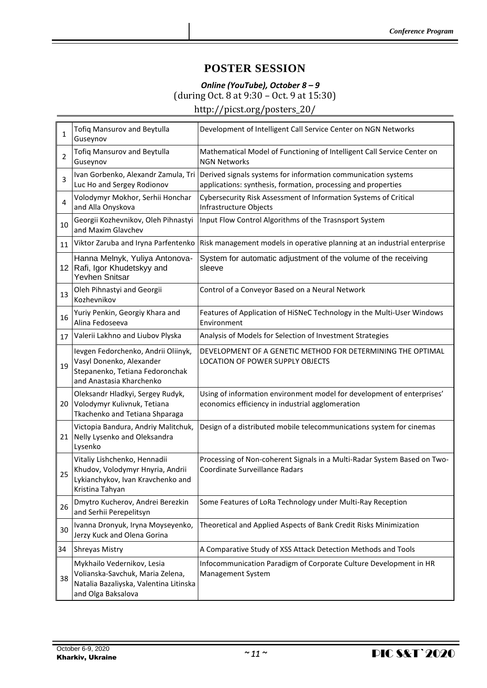## **POSTER SESSION**

# *Online (YouTube), October 8 – 9* (during Oct. 8 at 9:30 – Oct. 9 at 15:30)

http://picst.org/posters\_20/

| 1  | <b>Tofiq Mansurov and Beytulla</b><br>Guseynov                                                                                 | Development of Intelligent Call Service Center on NGN Networks                                                                                                     |
|----|--------------------------------------------------------------------------------------------------------------------------------|--------------------------------------------------------------------------------------------------------------------------------------------------------------------|
| 2  | <b>Tofiq Mansurov and Beytulla</b><br>Guseynov                                                                                 | Mathematical Model of Functioning of Intelligent Call Service Center on<br><b>NGN Networks</b>                                                                     |
| 3  | Luc Ho and Sergey Rodionov                                                                                                     | Ivan Gorbenko, Alexandr Zamula, Tri Derived signals systems for information communication systems<br>applications: synthesis, formation, processing and properties |
| 4  | Volodymyr Mokhor, Serhii Honchar<br>and Alla Onyskova                                                                          | Cybersecurity Risk Assessment of Information Systems of Critical<br>Infrastructure Objects                                                                         |
| 10 | Georgii Kozhevnikov, Oleh Pihnastyi<br>and Maxim Glavchev                                                                      | Input Flow Control Algorithms of the Trasnsport System                                                                                                             |
| 11 | Viktor Zaruba and Iryna Parfentenko                                                                                            | Risk management models in operative planning at an industrial enterprise                                                                                           |
| 12 | Hanna Melnyk, Yuliya Antonova-<br>Rafi, Igor Khudetskyy and<br>Yevhen Snitsar                                                  | System for automatic adjustment of the volume of the receiving<br>sleeve                                                                                           |
| 13 | Oleh Pihnastyi and Georgii<br>Kozhevnikov                                                                                      | Control of a Conveyor Based on a Neural Network                                                                                                                    |
| 16 | Yuriy Penkin, Georgiy Khara and<br>Alina Fedoseeva                                                                             | Features of Application of HiSNeC Technology in the Multi-User Windows<br>Environment                                                                              |
| 17 | Valerii Lakhno and Liubov Plyska                                                                                               | Analysis of Models for Selection of Investment Strategies                                                                                                          |
| 19 | levgen Fedorchenko, Andrii Oliinyk,<br>Vasyl Donenko, Alexander<br>Stepanenko, Tetiana Fedoronchak<br>and Anastasia Kharchenko | DEVELOPMENT OF A GENETIC METHOD FOR DETERMINING THE OPTIMAL<br>LOCATION OF POWER SUPPLY OBJECTS                                                                    |
| 20 | Oleksandr Hladkyi, Sergey Rudyk,<br>Volodymyr Kulivnuk, Tetiana<br>Tkachenko and Tetiana Shparaga                              | Using of information environment model for development of enterprises'<br>economics efficiency in industrial agglomeration                                         |
| 21 | Victopia Bandura, Andriy Malitchuk,<br>Nelly Lysenko and Oleksandra<br>Lysenko                                                 | Design of a distributed mobile telecommunications system for cinemas                                                                                               |
| 25 | Vitaliy Lishchenko, Hennadii<br>Khudov, Volodymyr Hnyria, Andrii<br>Lykianchykov, Ivan Kravchenko and<br>Kristina Tahyan       | Processing of Non-coherent Signals in a Multi-Radar System Based on Two-<br>Coordinate Surveillance Radars                                                         |
| 26 | Dmytro Kucherov, Andrei Berezkin<br>and Serhii Perepelitsyn                                                                    | Some Features of LoRa Technology under Multi-Ray Reception                                                                                                         |
| 30 | Ivanna Dronyuk, Iryna Moyseyenko,<br>Jerzy Kuck and Olena Gorina                                                               | Theoretical and Applied Aspects of Bank Credit Risks Minimization                                                                                                  |
| 34 | <b>Shreyas Mistry</b>                                                                                                          | A Comparative Study of XSS Attack Detection Methods and Tools                                                                                                      |
| 38 | Mykhailo Vedernikov, Lesia<br>Volianska-Savchuk, Maria Zelena,<br>Natalia Bazaliyska, Valentina Litinska<br>and Olga Baksalova | Infocommunication Paradigm of Corporate Culture Development in HR<br>Management System                                                                             |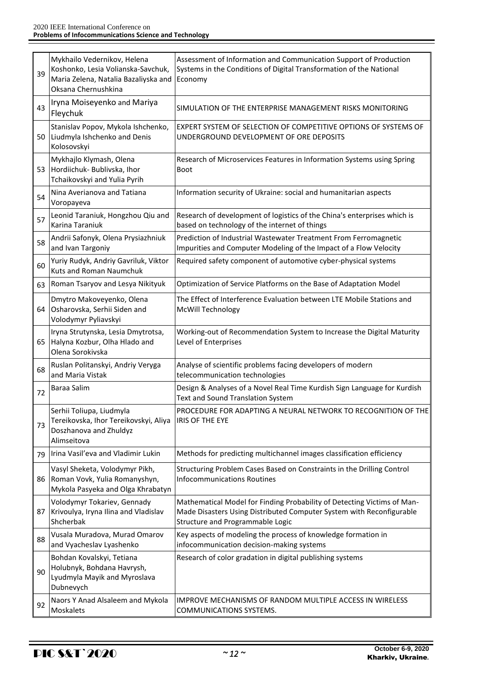| 39 | Mykhailo Vedernikov, Helena<br>Koshonko, Lesia Volianska-Savchuk,<br>Maria Zelena, Natalia Bazaliyska and<br>Oksana Chernushkina | Assessment of Information and Communication Support of Production<br>Systems in the Conditions of Digital Transformation of the National<br>Economy                                 |
|----|----------------------------------------------------------------------------------------------------------------------------------|-------------------------------------------------------------------------------------------------------------------------------------------------------------------------------------|
| 43 | Iryna Moiseyenko and Mariya<br>Fleychuk                                                                                          | SIMULATION OF THE ENTERPRISE MANAGEMENT RISKS MONITORING                                                                                                                            |
| 50 | Stanislav Popov, Mykola Ishchenko,<br>Liudmyla Ishchenko and Denis<br>Kolosovskyi                                                | EXPERT SYSTEM OF SELECTION OF COMPETITIVE OPTIONS OF SYSTEMS OF<br>UNDERGROUND DEVELOPMENT OF ORE DEPOSITS                                                                          |
| 53 | Mykhajlo Klymash, Olena<br>Hordiichuk- Bublivska, Ihor<br>Tchaikovskyi and Yulia Pyrih                                           | Research of Microservices Features in Information Systems using Spring<br>Boot                                                                                                      |
| 54 | Nina Averianova and Tatiana<br>Voropayeva                                                                                        | Information security of Ukraine: social and humanitarian aspects                                                                                                                    |
| 57 | Leonid Taraniuk, Hongzhou Qiu and<br>Karina Taraniuk                                                                             | Research of development of logistics of the China's enterprises which is<br>based on technology of the internet of things                                                           |
| 58 | Andrii Safonyk, Olena Prysiazhniuk<br>and Ivan Targoniy                                                                          | Prediction of Industrial Wastewater Treatment From Ferromagnetic<br>Impurities and Computer Modeling of the Impact of a Flow Velocity                                               |
| 60 | Yuriy Rudyk, Andriy Gavriluk, Viktor<br><b>Kuts and Roman Naumchuk</b>                                                           | Required safety component of automotive cyber-physical systems                                                                                                                      |
| 63 | Roman Tsaryov and Lesya Nikityuk                                                                                                 | Optimization of Service Platforms on the Base of Adaptation Model                                                                                                                   |
| 64 | Dmytro Makoveyenko, Olena<br>Osharovska, Serhii Siden and<br>Volodymyr Pyliavskyi                                                | The Effect of Interference Evaluation between LTE Mobile Stations and<br>McWill Technology                                                                                          |
| 65 | Iryna Strutynska, Lesia Dmytrotsa,<br>Halyna Kozbur, Olha Hlado and<br>Olena Sorokivska                                          | Working-out of Recommendation System to Increase the Digital Maturity<br>Level of Enterprises                                                                                       |
| 68 | Ruslan Politanskyi, Andriy Veryga<br>and Maria Vistak                                                                            | Analyse of scientific problems facing developers of modern<br>telecommunication technologies                                                                                        |
| 72 | Baraa Salim                                                                                                                      | Design & Analyses of a Novel Real Time Kurdish Sign Language for Kurdish<br><b>Text and Sound Translation System</b>                                                                |
| 73 | Serhii Toliupa, Liudmyla<br>Tereikovska, Ihor Tereikovskyi, Aliya<br>Doszhanova and Zhuldyz<br>Alimseitova                       | PROCEDURE FOR ADAPTING A NEURAL NETWORK TO RECOGNITION OF THE<br><b>IRIS OF THE EYE</b>                                                                                             |
| 79 | Irina Vasil'eva and Vladimir Lukin                                                                                               | Methods for predicting multichannel images classification efficiency                                                                                                                |
| 86 | Vasyl Sheketa, Volodymyr Pikh,<br>Roman Vovk, Yulia Romanyshyn,<br>Mykola Pasyeka and Olga Khrabatyn                             | Structuring Problem Cases Based on Constraints in the Drilling Control<br><b>Infocommunications Routines</b>                                                                        |
| 87 | Volodymyr Tokariev, Gennady<br>Krivoulya, Iryna Ilina and Vladislav<br>Shcherbak                                                 | Mathematical Model for Finding Probability of Detecting Victims of Man-<br>Made Disasters Using Distributed Computer System with Reconfigurable<br>Structure and Programmable Logic |
| 88 | Vusala Muradova, Murad Omarov<br>and Vyacheslav Lyashenko                                                                        | Key aspects of modeling the process of knowledge formation in<br>infocommunication decision-making systems                                                                          |
| 90 | Bohdan Kovalskyi, Tetiana<br>Holubnyk, Bohdana Havrysh,<br>Lyudmyla Mayik and Myroslava<br>Dubnevych                             | Research of color gradation in digital publishing systems                                                                                                                           |
| 92 | Naors Y Anad Alsaleem and Mykola<br>Moskalets                                                                                    | <b>IMPROVE MECHANISMS OF RANDOM MULTIPLE ACCESS IN WIRELESS</b><br>COMMUNICATIONS SYSTEMS.                                                                                          |

÷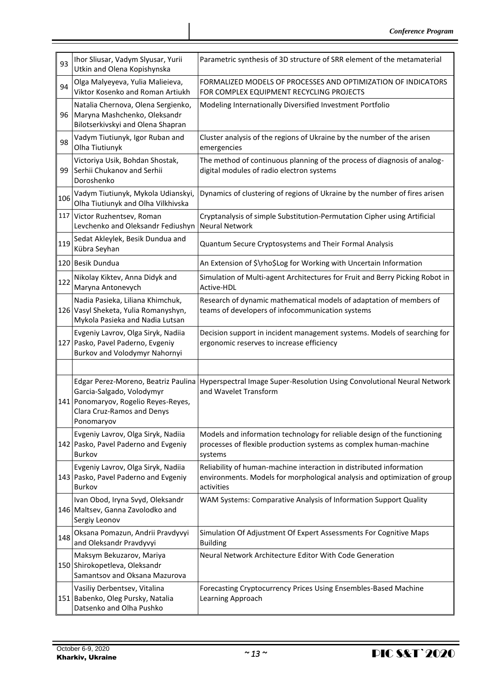| 93  | Ihor Sliusar, Vadym Slyusar, Yurii<br>Utkin and Olena Kopishynska                                             | Parametric synthesis of 3D structure of SRR element of the metamaterial                                                                                        |
|-----|---------------------------------------------------------------------------------------------------------------|----------------------------------------------------------------------------------------------------------------------------------------------------------------|
| 94  | Olga Malyeyeva, Yulia Malieieva,<br>Viktor Kosenko and Roman Artiukh                                          | FORMALIZED MODELS OF PROCESSES AND OPTIMIZATION OF INDICATORS<br>FOR COMPLEX EQUIPMENT RECYCLING PROJECTS                                                      |
| 96  | Natalia Chernova, Olena Sergienko,<br>Maryna Mashchenko, Oleksandr<br>Bilotserkivskyi and Olena Shapran       | Modeling Internationally Diversified Investment Portfolio                                                                                                      |
| 98  | Vadym Tiutiunyk, Igor Ruban and<br>Olha Tiutiunyk                                                             | Cluster analysis of the regions of Ukraine by the number of the arisen<br>emergencies                                                                          |
| 99  | Victoriya Usik, Bohdan Shostak,<br>Serhii Chukanov and Serhii<br>Doroshenko                                   | The method of continuous planning of the process of diagnosis of analog-<br>digital modules of radio electron systems                                          |
| 106 | Vadym Tiutiunyk, Mykola Udianskyi,<br>Olha Tiutiunyk and Olha Vilkhivska                                      | Dynamics of clustering of regions of Ukraine by the number of fires arisen                                                                                     |
| 117 | Victor Ruzhentsev, Roman<br>Levchenko and Oleksandr Fediushyn                                                 | Cryptanalysis of simple Substitution-Permutation Cipher using Artificial<br><b>Neural Network</b>                                                              |
| 119 | Sedat Akleylek, Besik Dundua and<br>Kübra Seyhan                                                              | Quantum Secure Cryptosystems and Their Formal Analysis                                                                                                         |
|     | 120 Besik Dundua                                                                                              | An Extension of \$\rho\$Log for Working with Uncertain Information                                                                                             |
| 122 | Nikolay Kiktev, Anna Didyk and<br>Maryna Antonevych                                                           | Simulation of Multi-agent Architectures for Fruit and Berry Picking Robot in<br>Active-HDL                                                                     |
|     | Nadia Pasieka, Liliana Khimchuk,<br>126 Vasyl Sheketa, Yulia Romanyshyn,<br>Mykola Pasieka and Nadia Lutsan   | Research of dynamic mathematical models of adaptation of members of<br>teams of developers of infocommunication systems                                        |
|     | Evgeniy Lavrov, Olga Siryk, Nadiia<br>127 Pasko, Pavel Paderno, Evgeniy<br>Burkov and Volodymyr Nahornyi      | Decision support in incident management systems. Models of searching for<br>ergonomic reserves to increase efficiency                                          |
|     |                                                                                                               |                                                                                                                                                                |
|     | Garcia-Salgado, Volodymyr<br>141 Ponomaryov, Rogelio Reyes-Reyes,<br>Clara Cruz-Ramos and Denys<br>Ponomaryov | Edgar Perez-Moreno, Beatriz Paulina   Hyperspectral Image Super-Resolution Using Convolutional Neural Network<br>and Wavelet Transform                         |
|     | Evgeniy Lavrov, Olga Siryk, Nadiia<br>142 Pasko, Pavel Paderno and Evgeniy<br>Burkov                          | Models and information technology for reliable design of the functioning<br>processes of flexible production systems as complex human-machine<br>systems       |
|     | Evgeniy Lavrov, Olga Siryk, Nadiia<br>143 Pasko, Pavel Paderno and Evgeniy<br>Burkov                          | Reliability of human-machine interaction in distributed information<br>environments. Models for morphological analysis and optimization of group<br>activities |
|     | Ivan Obod, Iryna Svyd, Oleksandr<br>146 Maltsev, Ganna Zavolodko and<br>Sergiy Leonov                         | WAM Systems: Comparative Analysis of Information Support Quality                                                                                               |
| 148 | Oksana Pomazun, Andrii Pravdyvyi<br>and Oleksandr Pravdyvyi                                                   | Simulation Of Adjustment Of Expert Assessments For Cognitive Maps<br><b>Building</b>                                                                           |
|     | Maksym Bekuzarov, Mariya<br>150 Shirokopetleva, Oleksandr<br>Samantsov and Oksana Mazurova                    | Neural Network Architecture Editor With Code Generation                                                                                                        |
|     | Vasiliy Derbentsev, Vitalina<br>151 Babenko, Oleg Pursky, Natalia<br>Datsenko and Olha Pushko                 | Forecasting Cryptocurrency Prices Using Ensembles-Based Machine<br>Learning Approach                                                                           |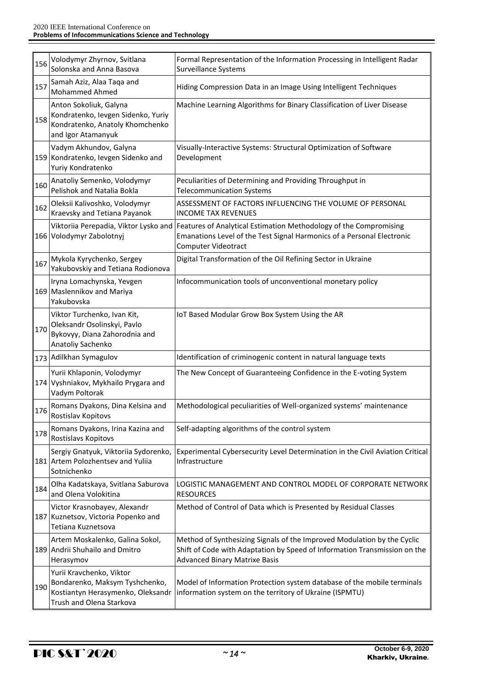| 156 | Volodymyr Zhyrnov, Svitlana<br>Solonska and Anna Basova                                                                     | Formal Representation of the Information Processing in Intelligent Radar<br>Surveillance Systems                                                                                             |
|-----|-----------------------------------------------------------------------------------------------------------------------------|----------------------------------------------------------------------------------------------------------------------------------------------------------------------------------------------|
| 157 | Samah Aziz, Alaa Taqa and<br><b>Mohammed Ahmed</b>                                                                          | Hiding Compression Data in an Image Using Intelligent Techniques                                                                                                                             |
| 158 | Anton Sokoliuk, Galyna<br>Kondratenko, Ievgen Sidenko, Yuriy<br>Kondratenko, Anatoly Khomchenko<br>and Igor Atamanyuk       | Machine Learning Algorithms for Binary Classification of Liver Disease                                                                                                                       |
|     | Vadym Akhundov, Galyna<br>159 Kondratenko, Ievgen Sidenko and<br>Yuriy Kondratenko                                          | Visually-Interactive Systems: Structural Optimization of Software<br>Development                                                                                                             |
| 160 | Anatoliy Semenko, Volodymyr<br>Pelishok and Natalia Bokla                                                                   | Peculiarities of Determining and Providing Throughput in<br><b>Telecommunication Systems</b>                                                                                                 |
| 162 | Oleksii Kalivoshko, Volodymyr<br>Kraevsky and Tetiana Payanok                                                               | ASSESSMENT OF FACTORS INFLUENCING THE VOLUME OF PERSONAL<br><b>INCOME TAX REVENUES</b>                                                                                                       |
|     | Viktoriia Perepadia, Viktor Lysko and<br>166 Volodymyr Zabolotnyj                                                           | Features of Analytical Estimation Methodology of the Compromising<br>Emanations Level of the Test Signal Harmonics of a Personal Electronic<br>Computer Videotract                           |
| 167 | Mykola Kyrychenko, Sergey<br>Yakubovskiy and Tetiana Rodionova                                                              | Digital Transformation of the Oil Refining Sector in Ukraine                                                                                                                                 |
|     | Iryna Lomachynska, Yevgen<br>169 Maslennikov and Mariya<br>Yakubovska                                                       | Infocommunication tools of unconventional monetary policy                                                                                                                                    |
| 170 | Viktor Turchenko, Ivan Kit,<br>Oleksandr Osolinskyi, Pavlo<br>Bykovyy, Diana Zahorodnia and<br>Anatoliy Sachenko            | IoT Based Modular Grow Box System Using the AR                                                                                                                                               |
|     | 173 Adilkhan Symagulov                                                                                                      | Identification of criminogenic content in natural language texts                                                                                                                             |
|     | Yurii Khlaponin, Volodymyr<br>174 Vyshniakov, Mykhailo Prygara and<br>Vadym Poltorak                                        | The New Concept of Guaranteeing Confidence in the E-voting System                                                                                                                            |
| 176 | Romans Dyakons, Dina Kelsina and<br>Rostislav Kopitovs                                                                      | Methodological peculiarities of Well-organized systems' maintenance                                                                                                                          |
| 178 | Romans Dyakons, Irina Kazina and<br>Rostislavs Kopitovs                                                                     | Self-adapting algorithms of the control system                                                                                                                                               |
|     | Sergiy Gnatyuk, Viktoriia Sydorenko,<br>181 Artem Polozhentsev and Yulija<br>Sotnichenko                                    | Experimental Cybersecurity Level Determination in the Civil Aviation Critical<br>Infrastructure                                                                                              |
| 184 | Olha Kadatskaya, Svitlana Saburova<br>and Olena Volokitina                                                                  | LOGISTIC MANAGEMENT AND CONTROL MODEL OF CORPORATE NETWORK<br><b>RESOURCES</b>                                                                                                               |
|     | Victor Krasnobayev, Alexandr<br>187 Kuznetsov, Victoria Popenko and<br>Tetiana Kuznetsova                                   | Method of Control of Data which is Presented by Residual Classes                                                                                                                             |
|     | Artem Moskalenko, Galina Sokol,<br>189 Andrii Shuhailo and Dmitro<br>Herasymov                                              | Method of Synthesizing Signals of the Improved Modulation by the Cyclic<br>Shift of Code with Adaptation by Speed of Information Transmission on the<br><b>Advanced Binary Matrixe Basis</b> |
| 190 | Yurii Kravchenko, Viktor<br>Bondarenko, Maksym Tyshchenko,<br>Kostiantyn Herasymenko, Oleksandr<br>Trush and Olena Starkova | Model of Information Protection system database of the mobile terminals<br>information system on the territory of Ukraine (ISPMTU)                                                           |

÷